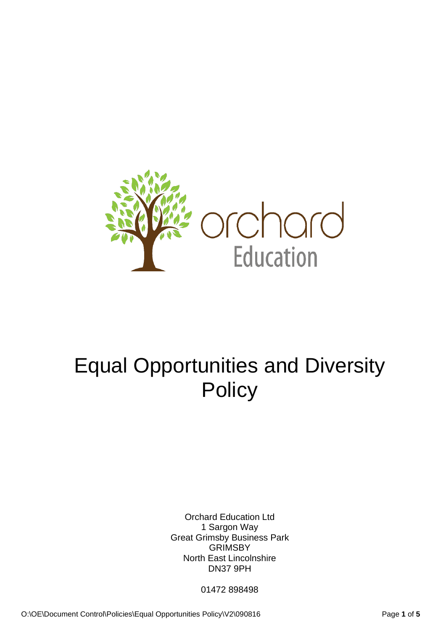

# Equal Opportunities and Diversity **Policy**

Orchard Education Ltd 1 Sargon Way Great Grimsby Business Park **GRIMSBY** North East Lincolnshire DN37 9PH

01472 898498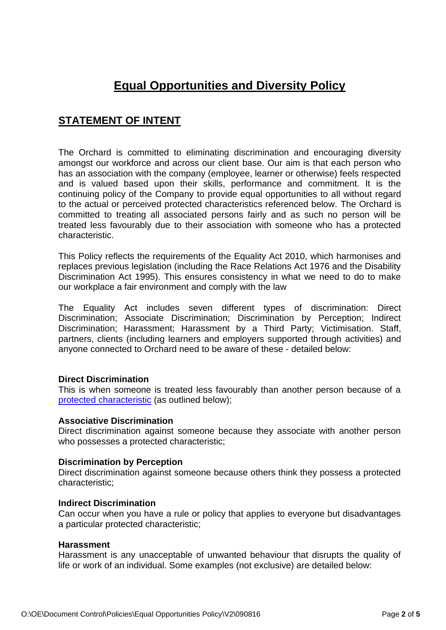# **Equal Opportunities and Diversity Policy**

# **STATEMENT OF INTENT**

The Orchard is committed to eliminating discrimination and encouraging diversity amongst our workforce and across our client base. Our aim is that each person who has an association with the company (employee, learner or otherwise) feels respected and is valued based upon their skills, performance and commitment. It is the continuing policy of the Company to provide equal opportunities to all without regard to the actual or perceived protected characteristics referenced below. The Orchard is committed to treating all associated persons fairly and as such no person will be treated less favourably due to their association with someone who has a protected characteristic.

This Policy reflects the requirements of the Equality Act 2010, which harmonises and replaces previous legislation (including the Race Relations Act 1976 and the Disability Discrimination Act 1995). This ensures consistency in what we need to do to make our workplace a fair environment and comply with the law

The Equality Act includes seven different types of discrimination: Direct Discrimination; Associate Discrimination; Discrimination by Perception; Indirect Discrimination; Harassment; Harassment by a Third Party; Victimisation. Staff, partners, clients (including learners and employers supported through activities) and anyone connected to Orchard need to be aware of these - detailed below:

#### **Direct Discrimination**

This is when someone is treated less favourably than another person because of a [protected characteristic](https://www.legislation.gov.uk/ukpga/2010/15/section/4) (as outlined below);

#### **Associative Discrimination**

Direct discrimination against someone because they associate with another person who possesses a protected characteristic;

#### **Discrimination by Perception**

Direct discrimination against someone because others think they possess a protected characteristic;

#### **Indirect Discrimination**

Can occur when you have a rule or policy that applies to everyone but disadvantages a particular protected characteristic;

#### **Harassment**

Harassment is any unacceptable of unwanted behaviour that disrupts the quality of life or work of an individual. Some examples (not exclusive) are detailed below: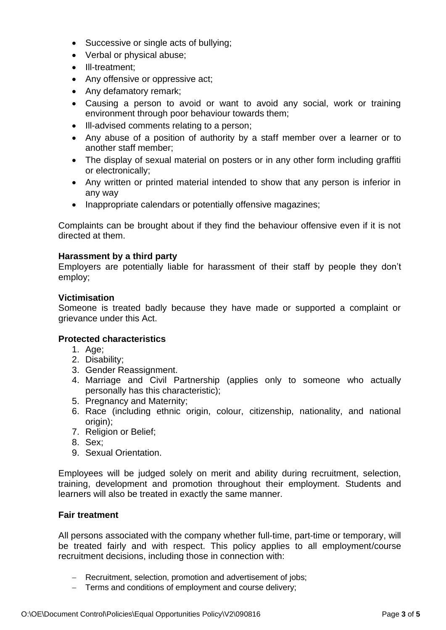- Successive or single acts of bullying;
- Verbal or physical abuse;
- Ill-treatment;
- Any offensive or oppressive act;
- Any defamatory remark;
- Causing a person to avoid or want to avoid any social, work or training environment through poor behaviour towards them;
- Ill-advised comments relating to a person;
- Any abuse of a position of authority by a staff member over a learner or to another staff member;
- The display of sexual material on posters or in any other form including graffiti or electronically;
- Any written or printed material intended to show that any person is inferior in any way
- Inappropriate calendars or potentially offensive magazines;

Complaints can be brought about if they find the behaviour offensive even if it is not directed at them.

#### **Harassment by a third party**

Employers are potentially liable for harassment of their staff by people they don't employ;

#### **Victimisation**

Someone is treated badly because they have made or supported a complaint or grievance under this Act.

#### **Protected characteristics**

- 1. Age;
- 2. Disability;
- 3. Gender Reassignment.
- 4. Marriage and Civil Partnership (applies only to someone who actually personally has this characteristic);
- 5. Pregnancy and Maternity;
- 6. Race (including ethnic origin, colour, citizenship, nationality, and national origin);
- 7. Religion or Belief;
- 8. Sex;
- 9. Sexual Orientation.

Employees will be judged solely on merit and ability during recruitment, selection, training, development and promotion throughout their employment. Students and learners will also be treated in exactly the same manner.

#### **Fair treatment**

All persons associated with the company whether full-time, part-time or temporary, will be treated fairly and with respect. This policy applies to all employment/course recruitment decisions, including those in connection with:

- − Recruitment, selection, promotion and advertisement of jobs;
- − Terms and conditions of employment and course delivery;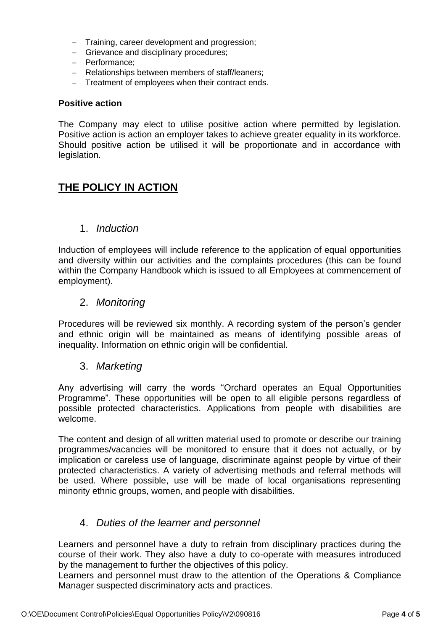- − Training, career development and progression;
- − Grievance and disciplinary procedures;
- − Performance;
- − Relationships between members of staff/leaners;
- − Treatment of employees when their contract ends.

#### **Positive action**

The Company may elect to utilise positive action where permitted by legislation. Positive action is action an employer takes to achieve greater equality in its workforce. Should positive action be utilised it will be proportionate and in accordance with legislation.

# **THE POLICY IN ACTION**

### 1. *Induction*

Induction of employees will include reference to the application of equal opportunities and diversity within our activities and the complaints procedures (this can be found within the Company Handbook which is issued to all Employees at commencement of employment).

## 2. *Monitoring*

Procedures will be reviewed six monthly. A recording system of the person's gender and ethnic origin will be maintained as means of identifying possible areas of inequality. Information on ethnic origin will be confidential.

#### 3. *Marketing*

Any advertising will carry the words "Orchard operates an Equal Opportunities Programme". These opportunities will be open to all eligible persons regardless of possible protected characteristics. Applications from people with disabilities are welcome.

The content and design of all written material used to promote or describe our training programmes/vacancies will be monitored to ensure that it does not actually, or by implication or careless use of language, discriminate against people by virtue of their protected characteristics. A variety of advertising methods and referral methods will be used. Where possible, use will be made of local organisations representing minority ethnic groups, women, and people with disabilities.

## 4. *Duties of the learner and personnel*

Learners and personnel have a duty to refrain from disciplinary practices during the course of their work. They also have a duty to co-operate with measures introduced by the management to further the objectives of this policy.

Learners and personnel must draw to the attention of the Operations & Compliance Manager suspected discriminatory acts and practices.